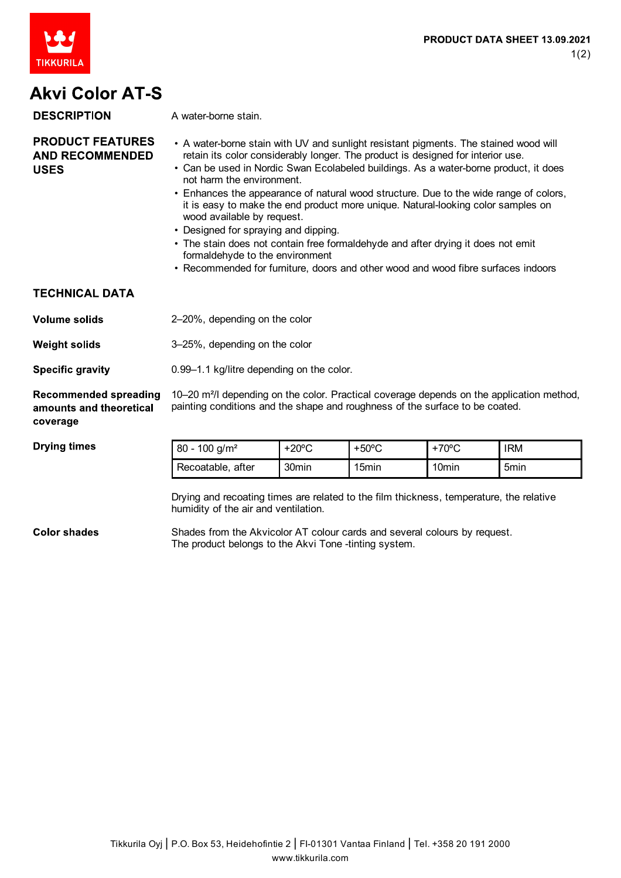

## **Akvi Color AT-S**

| <b>DESCRIPTION</b>                                                  | A water-borne stain.                                                                                                                                                                                                                                                                                                                                                                                                                                                                                                                                                                                                                                                                                                                                        |                 |                 |                   |            |
|---------------------------------------------------------------------|-------------------------------------------------------------------------------------------------------------------------------------------------------------------------------------------------------------------------------------------------------------------------------------------------------------------------------------------------------------------------------------------------------------------------------------------------------------------------------------------------------------------------------------------------------------------------------------------------------------------------------------------------------------------------------------------------------------------------------------------------------------|-----------------|-----------------|-------------------|------------|
| <b>PRODUCT FEATURES</b><br><b>AND RECOMMENDED</b><br><b>USES</b>    | • A water-borne stain with UV and sunlight resistant pigments. The stained wood will<br>retain its color considerably longer. The product is designed for interior use.<br>• Can be used in Nordic Swan Ecolabeled buildings. As a water-borne product, it does<br>not harm the environment.<br>• Enhances the appearance of natural wood structure. Due to the wide range of colors,<br>it is easy to make the end product more unique. Natural-looking color samples on<br>wood available by request.<br>• Designed for spraying and dipping.<br>• The stain does not contain free formaldehyde and after drying it does not emit<br>formaldehyde to the environment<br>• Recommended for furniture, doors and other wood and wood fibre surfaces indoors |                 |                 |                   |            |
| <b>TECHNICAL DATA</b>                                               |                                                                                                                                                                                                                                                                                                                                                                                                                                                                                                                                                                                                                                                                                                                                                             |                 |                 |                   |            |
| <b>Volume solids</b>                                                | 2-20%, depending on the color                                                                                                                                                                                                                                                                                                                                                                                                                                                                                                                                                                                                                                                                                                                               |                 |                 |                   |            |
| <b>Weight solids</b>                                                | 3-25%, depending on the color                                                                                                                                                                                                                                                                                                                                                                                                                                                                                                                                                                                                                                                                                                                               |                 |                 |                   |            |
| <b>Specific gravity</b>                                             | 0.99-1.1 kg/litre depending on the color.                                                                                                                                                                                                                                                                                                                                                                                                                                                                                                                                                                                                                                                                                                                   |                 |                 |                   |            |
| <b>Recommended spreading</b><br>amounts and theoretical<br>coverage | 10–20 m <sup>2</sup> /l depending on the color. Practical coverage depends on the application method,<br>painting conditions and the shape and roughness of the surface to be coated.                                                                                                                                                                                                                                                                                                                                                                                                                                                                                                                                                                       |                 |                 |                   |            |
| <b>Drying times</b>                                                 | $80 - 100$ g/m <sup>2</sup>                                                                                                                                                                                                                                                                                                                                                                                                                                                                                                                                                                                                                                                                                                                                 | $+20^{\circ}$ C | $+50^{\circ}$ C | $+70^{\circ}$ C   | <b>IRM</b> |
|                                                                     | Recoatable, after                                                                                                                                                                                                                                                                                                                                                                                                                                                                                                                                                                                                                                                                                                                                           | 30min           | 15min           | 10 <sub>min</sub> | 5min       |
|                                                                     | Drying and recoating times are related to the film thickness, temperature, the relative<br>humidity of the air and ventilation.                                                                                                                                                                                                                                                                                                                                                                                                                                                                                                                                                                                                                             |                 |                 |                   |            |

**Color shades** Shades from the Akvicolor AT colour cards and several colours by request. The product belongs to the Akvi Tone -tinting system.